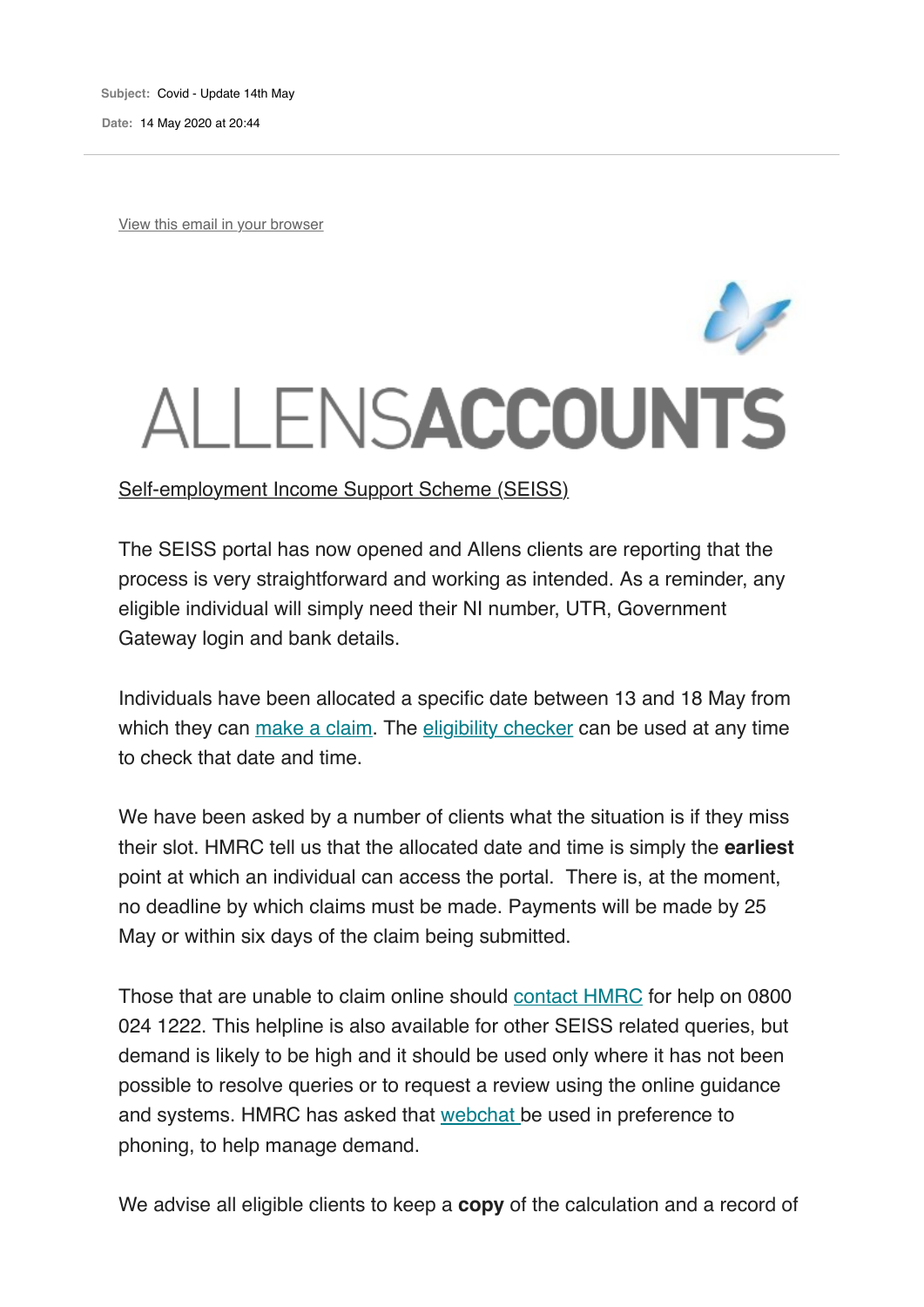**Subject:** Covid - Update 14th May

**Date:** 14 May 2020 at 20:44

View this email in your browser

## ALLENSACCOUNTS

The SEISS portal has now opened and Allens clients are reporting that the process is very straightforward and working as intended. As a reminder, any eligible individual will simply need their NI number, UTR, Government Gateway login and bank details.

Individuals have been allocated a specific date between 13 and 18 May from which they can make a claim. The eligibility checker can be used at any time to check that date and time.

We have been asked by a number of clients what the situation is if they miss their slot. HMRC tell us that the allocated date and time is simply the **earliest** point at which an individual can access the portal. There is, at the moment, no deadline by which claims must be made. Payments will be made by 25 May or within six days of the claim being submitted.

Those that are unable to claim online should contact HMRC for help on 0800 024 1222. This helpline is also available for other SEISS related queries, but demand is likely to be high and it should be used only where it has not been possible to resolve queries or to request a review using the online guidance and systems. HMRC has asked that webchat be used in preference to phoning, to help manage demand.

We advise all eligible clients to keep a **copy** of the calculation and a record of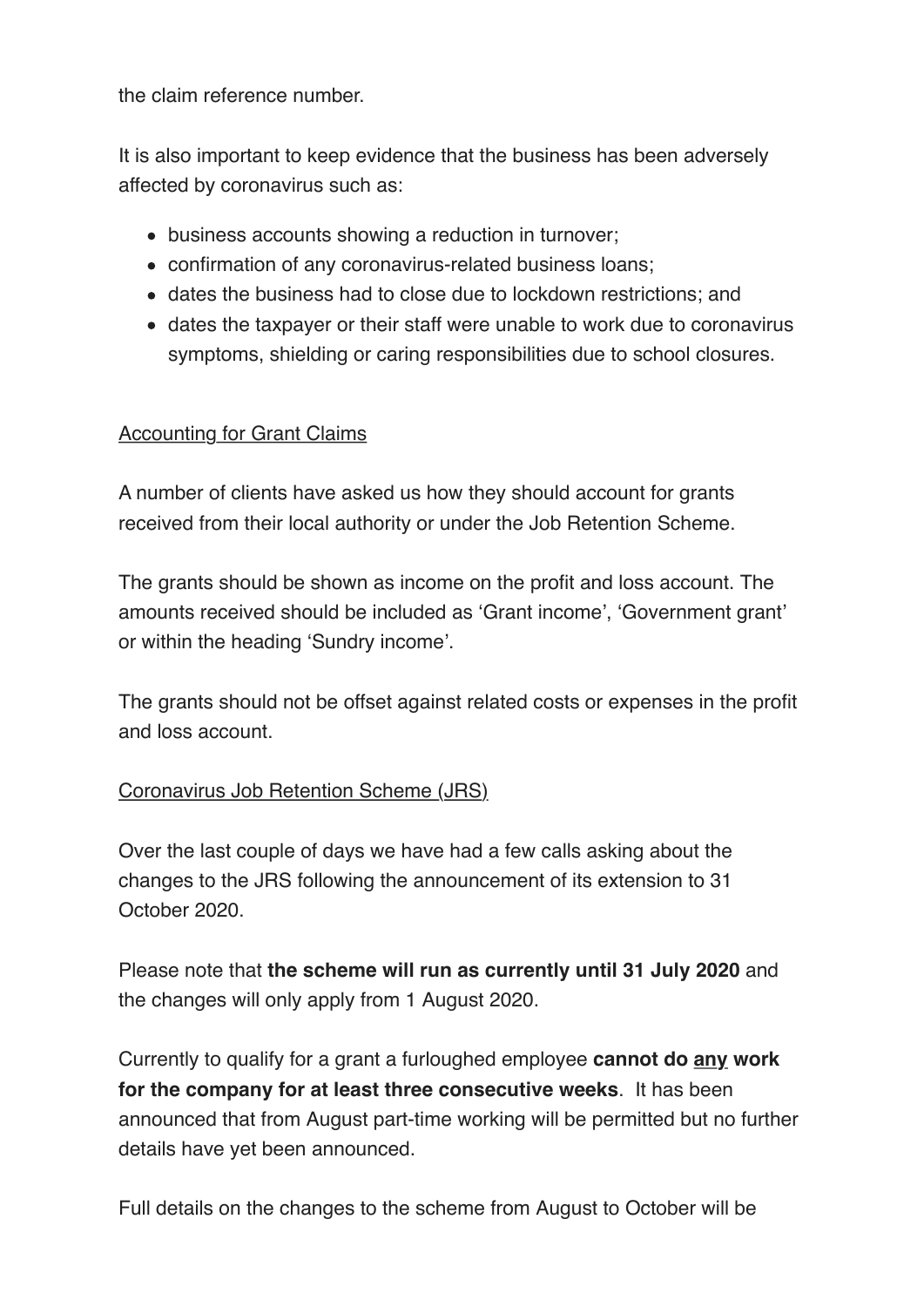the claim reference number.

It is also important to keep evidence that the business has been adversely affected by coronavirus such as:

- business accounts showing a reduction in turnover;
- confirmation of any coronavirus-related business loans;
- dates the business had to close due to lockdown restrictions; and
- dates the taxpayer or their staff were unable to work due to coronavirus symptoms, shielding or caring responsibilities due to school closures.

## Accounting for Grant Claims

A number of clients have asked us how they should account for grants received from their local authority or under the Job Retention Scheme.

The grants should be shown as income on the profit and loss account. The amounts received should be included as 'Grant income', 'Government grant' or within the heading 'Sundry income'.

The grants should not be offset against related costs or expenses in the profit and loss account.

## Coronavirus Job Retention Scheme (JRS)

Over the last couple of days we have had a few calls asking about the changes to the JRS following the announcement of its extension to 31 October 2020.

Please note that **the scheme will run as currently until 31 July 2020** and the changes will only apply from 1 August 2020.

Currently to qualify for a grant a furloughed employee **cannot do any work for the company for at least three consecutive weeks**. It has been announced that from August part-time working will be permitted but no further details have yet been announced.

Full details on the changes to the scheme from August to October will be